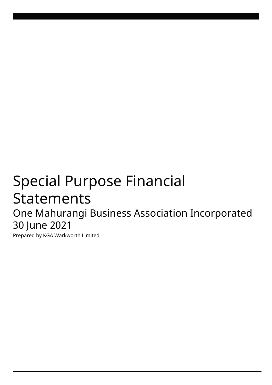# Special Purpose Financial **Statements** One Mahurangi Business Association Incorporated 30 June 2021

Prepared by KGA Warkworth Limited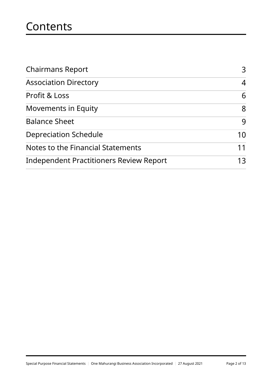# **Contents**

| <b>Chairmans Report</b>                 | 3  |  |
|-----------------------------------------|----|--|
| <b>Association Directory</b>            | 4  |  |
| Profit & Loss                           | 6  |  |
| <b>Movements in Equity</b>              | 8  |  |
| <b>Balance Sheet</b>                    | 9  |  |
| <b>Depreciation Schedule</b>            | 10 |  |
| Notes to the Financial Statements       | 11 |  |
| Independent Practitioners Review Report | 13 |  |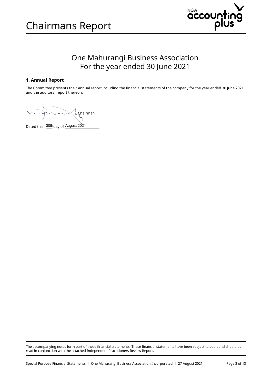<span id="page-2-0"></span>



### One Mahurangi Business Association For the year ended 30 June 2021

#### 1. Annual Report

The Committee presents their annual report including the financial statements of the company for the year ended 30 June 2021 and the auditors' report thereon.

\_\_\_\_\_\_\_\_\_\_\_\_\_\_\_\_\_\_\_\_\_\_\_\_\_\_\_\_\_\_\_\_\_\_ Chairman

Dated this :  $30th$  day of August 2021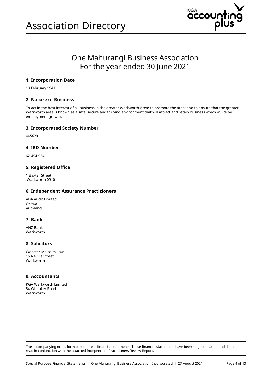

## One Mahurangi Business Association For the year ended 30 June 2021

#### 1. Incorporation Date

10 February 1941

#### 2. Nature of Business

To act in the best interest of all business in the greater Warkworth Area; to promote the area; and to ensure that the greater Warkworth area is known as a safe, secure and thriving environment that will attract and retain business which will drive employment growth.

#### 3. Incorporated Society Number

445620

#### 4. IRD Number

62-454-954

#### 5. Registered Office

1 Baxter Street Warkworth 0910

#### 6. Independent Assurance Practitioners

ABA Audit Limited Orewa Auckland

#### 7. Bank

ANZ Bank Warkworth

#### 8. Solicitors

Webster Malcolm Law 15 Neville Street Warkworth

#### 9. Accountants

KGA Warkworth Limited 54 Whitaker Road Warkworth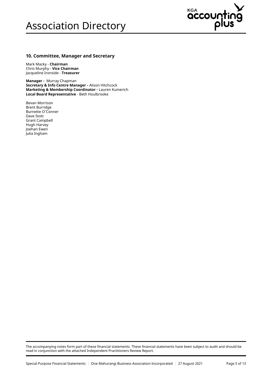## Association Directory



#### 10. Committee, Manager and Secretary

Mark Macky - Chairman Chris Murphy - Vice Chairman Jacqueline Ironside - Treasurer

Manager - Murray Chapman Secretary & Info Centre Manager - Alison Hitchcock Marketing & Membership Coordinator - Lauren Kumerich Local Board Representative - Beth Houlbrooke

Bevan Morrison Brent Burridge Burnette O'Conner Dave Stott Grant Campbell Hugh Harvey Joehan Ewen Julia Ingham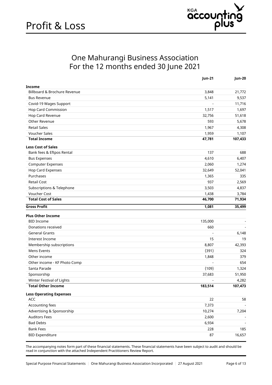

### One Mahurangi Business Association For the 12 months ended 30 June 2021

<span id="page-5-0"></span>

| <b>Income</b><br>Billboard & Brochure Revenue<br>3,848<br>21,772<br>5,141<br>9,537<br><b>Bus Revenue</b><br>Covid-19 Wages Support<br>11,716<br>Hop Card Commission<br>1,517<br>1,697<br>Hop Card Revenue<br>32,756<br>51,618<br>Other Revenue<br>593<br>5,678<br><b>Retail Sales</b><br>1,967<br>4,308<br><b>Voucher Sales</b><br>1,959<br>1,107<br><b>Total Income</b><br>47,781<br>107,433<br><b>Less Cost of Sales</b><br>Bank fees & Eftpos Rental<br>137<br>688<br>4,610<br>6,407<br><b>Bus Expenses</b><br><b>Computer Expenses</b><br>2,060<br>1,274<br><b>Hop Card Expenses</b><br>32,649<br>52,041<br>Purchases<br>1,365<br>335<br><b>Retail Cost</b><br>937<br>2,569<br>Subscriptions & Telephone<br>3,503<br>4,837<br>Voucher Cost<br>1,438<br>3,784<br><b>Total Cost of Sales</b><br>46,700<br>71,934<br><b>Gross Profit</b><br>1,081<br>35,499<br><b>Plus Other Income</b><br><b>BID Income</b><br>135,000<br>Donations received<br>660<br><b>General Grants</b><br>6,148<br>15<br>19<br>Interest Income<br>Membership subscriptions<br>8,807<br>42,393<br>Mens Events<br>(391)<br>324<br>1,848<br>379<br>Other income<br>654<br>Other income - KF Photo Comp<br>(109)<br>Santa Parade<br>1,324<br>Sponsorship<br>37,683<br>51,950<br>Winter Festival of Lights<br>4,282<br>$\overline{\phantom{a}}$<br><b>Total Other Income</b><br>183,514<br>107,473<br><b>Less Operating Expenses</b><br>22<br>ACC<br>58<br>Accounting fees<br>7,373<br>Advertising & Sponsorship<br>10,274<br>7,204<br><b>Auditors Fees</b><br>2,600<br><b>Bad Debts</b><br>6,934<br><b>Bank Fees</b><br>228<br>185 |                        | Jun-21 | Jun-20 |
|--------------------------------------------------------------------------------------------------------------------------------------------------------------------------------------------------------------------------------------------------------------------------------------------------------------------------------------------------------------------------------------------------------------------------------------------------------------------------------------------------------------------------------------------------------------------------------------------------------------------------------------------------------------------------------------------------------------------------------------------------------------------------------------------------------------------------------------------------------------------------------------------------------------------------------------------------------------------------------------------------------------------------------------------------------------------------------------------------------------------------------------------------------------------------------------------------------------------------------------------------------------------------------------------------------------------------------------------------------------------------------------------------------------------------------------------------------------------------------------------------------------------------------------------------------------------------------------------------------|------------------------|--------|--------|
|                                                                                                                                                                                                                                                                                                                                                                                                                                                                                                                                                                                                                                                                                                                                                                                                                                                                                                                                                                                                                                                                                                                                                                                                                                                                                                                                                                                                                                                                                                                                                                                                        |                        |        |        |
|                                                                                                                                                                                                                                                                                                                                                                                                                                                                                                                                                                                                                                                                                                                                                                                                                                                                                                                                                                                                                                                                                                                                                                                                                                                                                                                                                                                                                                                                                                                                                                                                        |                        |        |        |
|                                                                                                                                                                                                                                                                                                                                                                                                                                                                                                                                                                                                                                                                                                                                                                                                                                                                                                                                                                                                                                                                                                                                                                                                                                                                                                                                                                                                                                                                                                                                                                                                        |                        |        |        |
|                                                                                                                                                                                                                                                                                                                                                                                                                                                                                                                                                                                                                                                                                                                                                                                                                                                                                                                                                                                                                                                                                                                                                                                                                                                                                                                                                                                                                                                                                                                                                                                                        |                        |        |        |
|                                                                                                                                                                                                                                                                                                                                                                                                                                                                                                                                                                                                                                                                                                                                                                                                                                                                                                                                                                                                                                                                                                                                                                                                                                                                                                                                                                                                                                                                                                                                                                                                        |                        |        |        |
|                                                                                                                                                                                                                                                                                                                                                                                                                                                                                                                                                                                                                                                                                                                                                                                                                                                                                                                                                                                                                                                                                                                                                                                                                                                                                                                                                                                                                                                                                                                                                                                                        |                        |        |        |
|                                                                                                                                                                                                                                                                                                                                                                                                                                                                                                                                                                                                                                                                                                                                                                                                                                                                                                                                                                                                                                                                                                                                                                                                                                                                                                                                                                                                                                                                                                                                                                                                        |                        |        |        |
|                                                                                                                                                                                                                                                                                                                                                                                                                                                                                                                                                                                                                                                                                                                                                                                                                                                                                                                                                                                                                                                                                                                                                                                                                                                                                                                                                                                                                                                                                                                                                                                                        |                        |        |        |
|                                                                                                                                                                                                                                                                                                                                                                                                                                                                                                                                                                                                                                                                                                                                                                                                                                                                                                                                                                                                                                                                                                                                                                                                                                                                                                                                                                                                                                                                                                                                                                                                        |                        |        |        |
|                                                                                                                                                                                                                                                                                                                                                                                                                                                                                                                                                                                                                                                                                                                                                                                                                                                                                                                                                                                                                                                                                                                                                                                                                                                                                                                                                                                                                                                                                                                                                                                                        |                        |        |        |
|                                                                                                                                                                                                                                                                                                                                                                                                                                                                                                                                                                                                                                                                                                                                                                                                                                                                                                                                                                                                                                                                                                                                                                                                                                                                                                                                                                                                                                                                                                                                                                                                        |                        |        |        |
|                                                                                                                                                                                                                                                                                                                                                                                                                                                                                                                                                                                                                                                                                                                                                                                                                                                                                                                                                                                                                                                                                                                                                                                                                                                                                                                                                                                                                                                                                                                                                                                                        |                        |        |        |
|                                                                                                                                                                                                                                                                                                                                                                                                                                                                                                                                                                                                                                                                                                                                                                                                                                                                                                                                                                                                                                                                                                                                                                                                                                                                                                                                                                                                                                                                                                                                                                                                        |                        |        |        |
|                                                                                                                                                                                                                                                                                                                                                                                                                                                                                                                                                                                                                                                                                                                                                                                                                                                                                                                                                                                                                                                                                                                                                                                                                                                                                                                                                                                                                                                                                                                                                                                                        |                        |        |        |
|                                                                                                                                                                                                                                                                                                                                                                                                                                                                                                                                                                                                                                                                                                                                                                                                                                                                                                                                                                                                                                                                                                                                                                                                                                                                                                                                                                                                                                                                                                                                                                                                        |                        |        |        |
|                                                                                                                                                                                                                                                                                                                                                                                                                                                                                                                                                                                                                                                                                                                                                                                                                                                                                                                                                                                                                                                                                                                                                                                                                                                                                                                                                                                                                                                                                                                                                                                                        |                        |        |        |
|                                                                                                                                                                                                                                                                                                                                                                                                                                                                                                                                                                                                                                                                                                                                                                                                                                                                                                                                                                                                                                                                                                                                                                                                                                                                                                                                                                                                                                                                                                                                                                                                        |                        |        |        |
|                                                                                                                                                                                                                                                                                                                                                                                                                                                                                                                                                                                                                                                                                                                                                                                                                                                                                                                                                                                                                                                                                                                                                                                                                                                                                                                                                                                                                                                                                                                                                                                                        |                        |        |        |
|                                                                                                                                                                                                                                                                                                                                                                                                                                                                                                                                                                                                                                                                                                                                                                                                                                                                                                                                                                                                                                                                                                                                                                                                                                                                                                                                                                                                                                                                                                                                                                                                        |                        |        |        |
|                                                                                                                                                                                                                                                                                                                                                                                                                                                                                                                                                                                                                                                                                                                                                                                                                                                                                                                                                                                                                                                                                                                                                                                                                                                                                                                                                                                                                                                                                                                                                                                                        |                        |        |        |
|                                                                                                                                                                                                                                                                                                                                                                                                                                                                                                                                                                                                                                                                                                                                                                                                                                                                                                                                                                                                                                                                                                                                                                                                                                                                                                                                                                                                                                                                                                                                                                                                        |                        |        |        |
|                                                                                                                                                                                                                                                                                                                                                                                                                                                                                                                                                                                                                                                                                                                                                                                                                                                                                                                                                                                                                                                                                                                                                                                                                                                                                                                                                                                                                                                                                                                                                                                                        |                        |        |        |
|                                                                                                                                                                                                                                                                                                                                                                                                                                                                                                                                                                                                                                                                                                                                                                                                                                                                                                                                                                                                                                                                                                                                                                                                                                                                                                                                                                                                                                                                                                                                                                                                        |                        |        |        |
|                                                                                                                                                                                                                                                                                                                                                                                                                                                                                                                                                                                                                                                                                                                                                                                                                                                                                                                                                                                                                                                                                                                                                                                                                                                                                                                                                                                                                                                                                                                                                                                                        |                        |        |        |
|                                                                                                                                                                                                                                                                                                                                                                                                                                                                                                                                                                                                                                                                                                                                                                                                                                                                                                                                                                                                                                                                                                                                                                                                                                                                                                                                                                                                                                                                                                                                                                                                        |                        |        |        |
|                                                                                                                                                                                                                                                                                                                                                                                                                                                                                                                                                                                                                                                                                                                                                                                                                                                                                                                                                                                                                                                                                                                                                                                                                                                                                                                                                                                                                                                                                                                                                                                                        |                        |        |        |
|                                                                                                                                                                                                                                                                                                                                                                                                                                                                                                                                                                                                                                                                                                                                                                                                                                                                                                                                                                                                                                                                                                                                                                                                                                                                                                                                                                                                                                                                                                                                                                                                        |                        |        |        |
|                                                                                                                                                                                                                                                                                                                                                                                                                                                                                                                                                                                                                                                                                                                                                                                                                                                                                                                                                                                                                                                                                                                                                                                                                                                                                                                                                                                                                                                                                                                                                                                                        |                        |        |        |
|                                                                                                                                                                                                                                                                                                                                                                                                                                                                                                                                                                                                                                                                                                                                                                                                                                                                                                                                                                                                                                                                                                                                                                                                                                                                                                                                                                                                                                                                                                                                                                                                        |                        |        |        |
|                                                                                                                                                                                                                                                                                                                                                                                                                                                                                                                                                                                                                                                                                                                                                                                                                                                                                                                                                                                                                                                                                                                                                                                                                                                                                                                                                                                                                                                                                                                                                                                                        |                        |        |        |
|                                                                                                                                                                                                                                                                                                                                                                                                                                                                                                                                                                                                                                                                                                                                                                                                                                                                                                                                                                                                                                                                                                                                                                                                                                                                                                                                                                                                                                                                                                                                                                                                        |                        |        |        |
|                                                                                                                                                                                                                                                                                                                                                                                                                                                                                                                                                                                                                                                                                                                                                                                                                                                                                                                                                                                                                                                                                                                                                                                                                                                                                                                                                                                                                                                                                                                                                                                                        |                        |        |        |
|                                                                                                                                                                                                                                                                                                                                                                                                                                                                                                                                                                                                                                                                                                                                                                                                                                                                                                                                                                                                                                                                                                                                                                                                                                                                                                                                                                                                                                                                                                                                                                                                        |                        |        |        |
|                                                                                                                                                                                                                                                                                                                                                                                                                                                                                                                                                                                                                                                                                                                                                                                                                                                                                                                                                                                                                                                                                                                                                                                                                                                                                                                                                                                                                                                                                                                                                                                                        |                        |        |        |
|                                                                                                                                                                                                                                                                                                                                                                                                                                                                                                                                                                                                                                                                                                                                                                                                                                                                                                                                                                                                                                                                                                                                                                                                                                                                                                                                                                                                                                                                                                                                                                                                        |                        |        |        |
|                                                                                                                                                                                                                                                                                                                                                                                                                                                                                                                                                                                                                                                                                                                                                                                                                                                                                                                                                                                                                                                                                                                                                                                                                                                                                                                                                                                                                                                                                                                                                                                                        |                        |        |        |
|                                                                                                                                                                                                                                                                                                                                                                                                                                                                                                                                                                                                                                                                                                                                                                                                                                                                                                                                                                                                                                                                                                                                                                                                                                                                                                                                                                                                                                                                                                                                                                                                        |                        |        |        |
|                                                                                                                                                                                                                                                                                                                                                                                                                                                                                                                                                                                                                                                                                                                                                                                                                                                                                                                                                                                                                                                                                                                                                                                                                                                                                                                                                                                                                                                                                                                                                                                                        |                        |        |        |
|                                                                                                                                                                                                                                                                                                                                                                                                                                                                                                                                                                                                                                                                                                                                                                                                                                                                                                                                                                                                                                                                                                                                                                                                                                                                                                                                                                                                                                                                                                                                                                                                        |                        |        |        |
|                                                                                                                                                                                                                                                                                                                                                                                                                                                                                                                                                                                                                                                                                                                                                                                                                                                                                                                                                                                                                                                                                                                                                                                                                                                                                                                                                                                                                                                                                                                                                                                                        |                        |        |        |
|                                                                                                                                                                                                                                                                                                                                                                                                                                                                                                                                                                                                                                                                                                                                                                                                                                                                                                                                                                                                                                                                                                                                                                                                                                                                                                                                                                                                                                                                                                                                                                                                        |                        |        |        |
|                                                                                                                                                                                                                                                                                                                                                                                                                                                                                                                                                                                                                                                                                                                                                                                                                                                                                                                                                                                                                                                                                                                                                                                                                                                                                                                                                                                                                                                                                                                                                                                                        | <b>BID Expenditure</b> | 87     | 16,657 |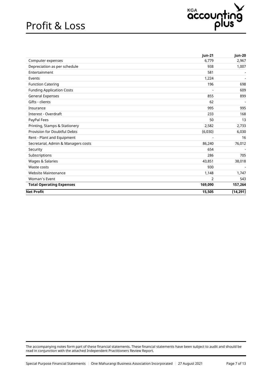## Profit & Loss



| 6,779<br>Computer expenses<br>Depreciation as per schedule<br>938<br>Entertainment<br>581<br>1,224<br>Events<br>196<br><b>Function Catering</b><br><b>Funding Application Costs</b><br>General Expenses<br>855<br>Gifts - clients<br>62<br>995<br>Insurance<br>Interest - Overdraft<br>233<br>PayPal Fees<br>50<br>Printing, Stamps & Stationery<br>2,582<br>Provision for Doubtful Debts<br>(6,030)<br>Rent - Plant and Equipment<br>Secretarial, Admin & Managers costs<br>86,240<br>654<br>Security<br>Subscriptions<br>286<br>Wages & Salaries<br>43,851<br>Waste costs<br>930<br><b>Website Maintenance</b><br>1,148<br>$\overline{2}$<br>Woman's Event<br><b>Total Operating Expenses</b><br>169,090<br>15,505 |                   | <b>Jun-21</b> | Jun-20    |
|----------------------------------------------------------------------------------------------------------------------------------------------------------------------------------------------------------------------------------------------------------------------------------------------------------------------------------------------------------------------------------------------------------------------------------------------------------------------------------------------------------------------------------------------------------------------------------------------------------------------------------------------------------------------------------------------------------------------|-------------------|---------------|-----------|
|                                                                                                                                                                                                                                                                                                                                                                                                                                                                                                                                                                                                                                                                                                                      |                   |               | 2,967     |
|                                                                                                                                                                                                                                                                                                                                                                                                                                                                                                                                                                                                                                                                                                                      |                   |               | 1,007     |
|                                                                                                                                                                                                                                                                                                                                                                                                                                                                                                                                                                                                                                                                                                                      |                   |               |           |
|                                                                                                                                                                                                                                                                                                                                                                                                                                                                                                                                                                                                                                                                                                                      |                   |               |           |
|                                                                                                                                                                                                                                                                                                                                                                                                                                                                                                                                                                                                                                                                                                                      |                   |               | 698       |
|                                                                                                                                                                                                                                                                                                                                                                                                                                                                                                                                                                                                                                                                                                                      |                   |               | 609       |
|                                                                                                                                                                                                                                                                                                                                                                                                                                                                                                                                                                                                                                                                                                                      |                   |               | 899       |
|                                                                                                                                                                                                                                                                                                                                                                                                                                                                                                                                                                                                                                                                                                                      |                   |               |           |
|                                                                                                                                                                                                                                                                                                                                                                                                                                                                                                                                                                                                                                                                                                                      |                   |               | 995       |
|                                                                                                                                                                                                                                                                                                                                                                                                                                                                                                                                                                                                                                                                                                                      |                   |               | 168       |
|                                                                                                                                                                                                                                                                                                                                                                                                                                                                                                                                                                                                                                                                                                                      |                   |               | 13        |
|                                                                                                                                                                                                                                                                                                                                                                                                                                                                                                                                                                                                                                                                                                                      |                   |               | 2,733     |
|                                                                                                                                                                                                                                                                                                                                                                                                                                                                                                                                                                                                                                                                                                                      |                   |               | 6,030     |
|                                                                                                                                                                                                                                                                                                                                                                                                                                                                                                                                                                                                                                                                                                                      |                   |               | 16        |
|                                                                                                                                                                                                                                                                                                                                                                                                                                                                                                                                                                                                                                                                                                                      |                   |               | 76,012    |
|                                                                                                                                                                                                                                                                                                                                                                                                                                                                                                                                                                                                                                                                                                                      |                   |               |           |
|                                                                                                                                                                                                                                                                                                                                                                                                                                                                                                                                                                                                                                                                                                                      |                   |               | 705       |
|                                                                                                                                                                                                                                                                                                                                                                                                                                                                                                                                                                                                                                                                                                                      |                   |               | 38,018    |
|                                                                                                                                                                                                                                                                                                                                                                                                                                                                                                                                                                                                                                                                                                                      |                   |               |           |
|                                                                                                                                                                                                                                                                                                                                                                                                                                                                                                                                                                                                                                                                                                                      |                   |               | 1,747     |
|                                                                                                                                                                                                                                                                                                                                                                                                                                                                                                                                                                                                                                                                                                                      |                   |               | 543       |
|                                                                                                                                                                                                                                                                                                                                                                                                                                                                                                                                                                                                                                                                                                                      |                   |               | 157,264   |
|                                                                                                                                                                                                                                                                                                                                                                                                                                                                                                                                                                                                                                                                                                                      | <b>Net Profit</b> |               | (14, 291) |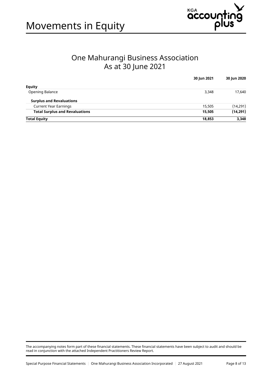



### One Mahurangi Business Association As at 30 June 2021

|                                       | 30 Jun 2021 | 30 Jun 2020 |
|---------------------------------------|-------------|-------------|
| <b>Equity</b>                         |             |             |
| Opening Balance                       | 3,348       | 17,640      |
| <b>Surplus and Revaluations</b>       |             |             |
| <b>Current Year Earnings</b>          | 15,505      | (14, 291)   |
| <b>Total Surplus and Revaluations</b> | 15,505      | (14, 291)   |
| <b>Total Equity</b>                   | 18,853      | 3,348       |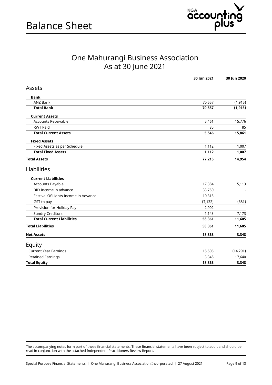

## One Mahurangi Business Association As at 30 June 2021

|                                      | 30 Jun 2021 | 30 Jun 2020 |
|--------------------------------------|-------------|-------------|
| Assets                               |             |             |
| Bank                                 |             |             |
| <b>ANZ Bank</b>                      | 70,557      | (1, 915)    |
| <b>Total Bank</b>                    | 70,557      | (1, 915)    |
| <b>Current Assets</b>                |             |             |
| <b>Accounts Receivable</b>           | 5,461       | 15,776      |
| <b>RWT Paid</b>                      | 85          | 85          |
| <b>Total Current Assets</b>          | 5,546       | 15,861      |
| <b>Fixed Assets</b>                  |             |             |
| Fixed Assets as per Schedule         | 1,112       | 1,007       |
| <b>Total Fixed Assets</b>            | 1,112       | 1,007       |
| <b>Total Assets</b>                  | 77,215      | 14,954      |
| Liabilities                          |             |             |
| <b>Current Liabilities</b>           |             |             |
| <b>Accounts Payable</b>              | 17,384      | 5,113       |
| BID Income in advance                | 33,750      |             |
| Festival Of Lights Income in Advance | 10,315      |             |
| GST to pay                           | (7, 132)    | (681)       |
| Provision for Holiday Pay            | 2,902       |             |
| <b>Sundry Creditors</b>              | 1,143       | 7,173       |
| <b>Total Current Liabilities</b>     | 58,361      | 11,605      |
| <b>Total Liabilities</b>             | 58,361      | 11,605      |
| <b>Net Assets</b>                    | 18,853      | 3,348       |
| Equity                               |             |             |
| <b>Current Year Earnings</b>         | 15,505      | (14, 291)   |
| <b>Retained Earnings</b>             | 3,348       | 17,640      |
|                                      |             |             |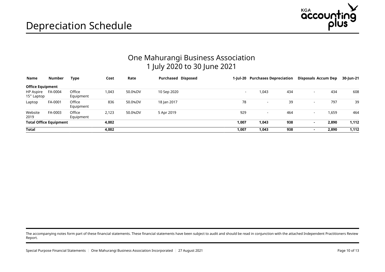

## One Mahurangi Business Association 1 July 2020 to 30 June 2021

<span id="page-9-0"></span>

| Name                          | Number  | Type                | Cost  | Rate    | Purchased Disposed |                | 1-Jul-20 Purchases Depreciation |     | Disposals Accum Dep      |       | 30-Jun-21 |
|-------------------------------|---------|---------------------|-------|---------|--------------------|----------------|---------------------------------|-----|--------------------------|-------|-----------|
| <b>Office Equipment</b>       |         |                     |       |         |                    |                |                                 |     |                          |       |           |
| HP Aspire<br>15" Laptop       | FA-0004 | Office<br>Equipment | 1,043 | 50.0%DV | 10 Sep 2020        | $\blacksquare$ | 1,043                           | 434 | $\sim$                   | 434   | 608       |
| Laptop                        | FA-0001 | Office<br>Equipment | 836   | 50.0%DV | 18 Jan 2017        | 78             | $\overline{\phantom{0}}$        | 39  | $\overline{\phantom{a}}$ | 797   | 39        |
| Website<br>2019               | FA-0003 | Office<br>Equipment | 2,123 | 50.0%DV | 5 Apr 2019         | 929            | -                               | 464 | $\sim$                   | 1,659 | 464       |
| <b>Total Office Equipment</b> |         |                     | 4,002 |         |                    | 1,007          | 1,043                           | 938 | $\blacksquare$           | 2,890 | 1,112     |
| <b>Total</b>                  |         |                     | 4.002 |         |                    | 1,007          | 1,043                           | 938 |                          | 2.890 | 1,112     |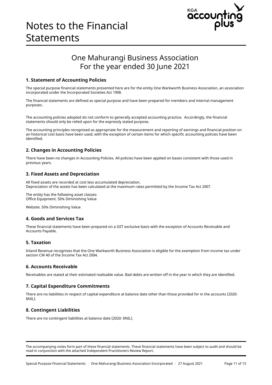

## One Mahurangi Business Association For the year ended 30 June 2021

#### <span id="page-10-0"></span>1. Statement of Accounting Policies

The special purpose financial statements presented here are for the entity One Warkworth Business Association, an association incorporated under the Incorporated Societies Act 1908.

The financial statements are defined as special purpose and have been prepared for members and internal management purposes.

The accounting policies adopted do not conform to generally accepted accounting practice. Accordingly, the financial statements should only be relied upon for the expressly stated purpose.

The accounting principles recognised as appropriate for the measurement and reporting of earnings and financial position on an historical cost basis have been used, with the exception of certain items for which specific accounting policies have been identified.

#### 2. Changes in Accounting Policies

There have been no changes in Accounting Policies. All policies have been applied on bases consistent with those used in previous years.

#### 3. Fixed Assets and Depreciation

All fixed assets are recorded at cost less accumulated depreciation. Depreciation of the assets has been calculated at the maximum rates permitted by the Income Tax Act 2007.

The entity has the following asset classes: Office Equipment. 50% Diminishing Value

Website. 50% Diminishing Value

#### 4. Goods and Services Tax

These financial statements have been prepared on a GST exclusive basis with the exception of Accounts Receivable and Accounts Payable.

#### 5. Taxation

Inland Revenue recognises that the One Warkworth Business Association is eligible for the exemption from income tax under section CW 40 of the Income Tax Act 2004.

#### 6. Accounts Receivable

Receivables are stated at their estimated realisable value. Bad debts are written off in the year in which they are identified.

#### 7. Capital Expenditure Commitments

There are no liabilities in respect of capital expenditure at balance date other than those provided for in the accounts (2020: \$NIL).

#### 8. Contingent Liabilities

There are no contingent liabilities at balance date (2020: \$NIL).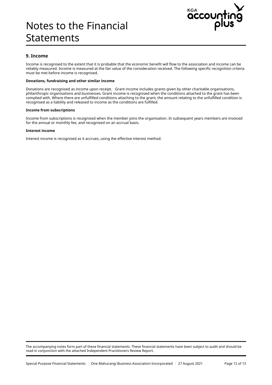## Notes to the Financial Statements



#### 9. Income

Income is recognised to the extent that it is probable that the economic benefit will flow to the association and income can be reliably measured. Income is measured at the fair value of the consideration received. The following specific recognition criteria must be met before income is recognised.

#### Donations, fundraising and other similar income

Donations are recognised as income upon receipt. Grant income includes grants given by other charitable organisations, philanthropic organisations and businesses. Grant income is recognised when the conditions attached to the grant has been complied with. Where there are unfulfilled conditions attaching to the grant, the amount relating to the unfulfilled condition is recognised as a liability and released to income as the conditions are fulfilled.

#### Income from subscriptions

Income from subscriptions is recognised when the member joins the organisation. In subsequent years members are invoiced for the annual or monthly fee, and recognised on an accrual basis.

#### Interest income

Interest income is recognised as it accrues, using the effective interest method.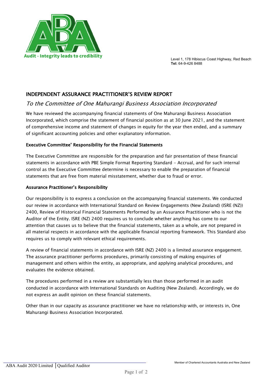

Level 1, 178 Hibiscus Coast Highway, Red Beach **Tel:** 64-9-426 8488

#### INDEPENDENT ASSURANCE PRACTITIONER'S REVIEW REPORT

#### To the Committee of One Mahurangi Business Association Incorporated

We have reviewed the accompanying financial statements of One Mahurangi Business Association Incorporated, which comprise the statement of financial position as at 30 June 2021, and the statement of comprehensive income and statement of changes in equity for the year then ended, and a summary of significant accounting policies and other explanatory information.

#### Executive Committee' Responsibility for the Financial Statements

The Executive Committee are responsible for the preparation and fair presentation of these financial statements in accordance with PBE Simple Format Reporting Standard - Accrual, and for such internal control as the Executive Committee determine is necessary to enable the preparation of financial statements that are free from material misstatement, whether due to fraud or error.

#### Assurance Practitioner's Responsibility

Our responsibility is to express a conclusion on the accompanying financial statements. We conducted our review in accordance with International Standard on Review Engagements (New Zealand) (ISRE (NZ)) 2400, Review of Historical Financial Statements Performed by an Assurance Practitioner who is not the Auditor of the Entity. ISRE (NZ) 2400 requires us to conclude whether anything has come to our attention that causes us to believe that the financial statements, taken as a whole, are not prepared in all material respects in accordance with the applicable financial reporting framework. This Standard also requires us to comply with relevant ethical requirements.

A review of financial statements in accordance with ISRE (NZ) 2400 is a limited assurance engagement. The assurance practitioner performs procedures, primarily consisting of making enquiries of management and others within the entity, as appropriate, and applying analytical procedures, and evaluates the evidence obtained.

The procedures performed in a review are substantially less than those performed in an audit conducted in accordance with International Standards on Auditing (New Zealand). Accordingly, we do not express an audit opinion on these financial statements.

Other than in our capacity as assurance practitioner we have no relationship with, or interests in, One Mahurangi Business Association Incorporated.